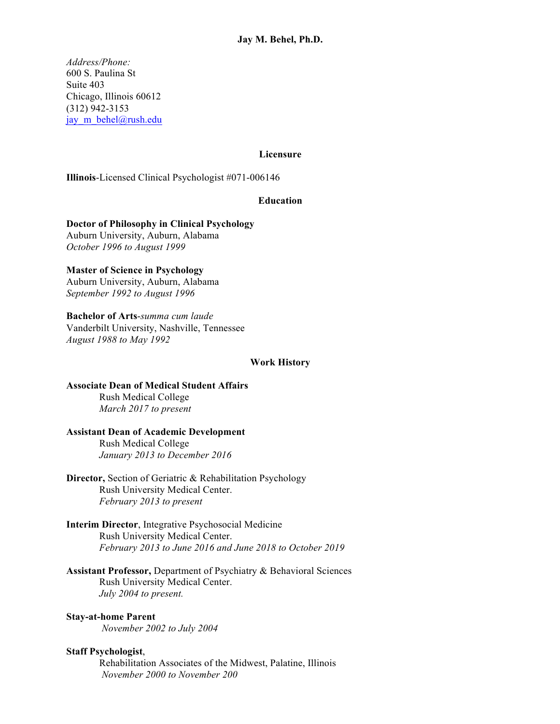*Address/Phone:* 600 S. Paulina St Suite 403 Chicago, Illinois 60612 (312) 942-3153 jay m behel@rush.edu

### **Licensure**

**Illinois**-Licensed Clinical Psychologist #071-006146

### **Education**

**Doctor of Philosophy in Clinical Psychology** Auburn University, Auburn, Alabama *October 1996 to August 1999*

**Master of Science in Psychology** Auburn University, Auburn, Alabama *September 1992 to August 1996*

**Bachelor of Arts**-*summa cum laude*

Vanderbilt University, Nashville, Tennessee *August 1988 to May 1992*

### **Work History**

**Associate Dean of Medical Student Affairs** Rush Medical College *March 2017 to present*

## **Assistant Dean of Academic Development**

Rush Medical College *January 2013 to December 2016*

- **Director,** Section of Geriatric & Rehabilitation Psychology Rush University Medical Center. *February 2013 to present*
- **Interim Director**, Integrative Psychosocial Medicine Rush University Medical Center. *February 2013 to June 2016 and June 2018 to October 2019*

**Assistant Professor,** Department of Psychiatry & Behavioral Sciences Rush University Medical Center. *July 2004 to present.*

## **Stay-at-home Parent**

*November 2002 to July 2004*

## **Staff Psychologist**,

Rehabilitation Associates of the Midwest, Palatine, Illinois *November 2000 to November 200*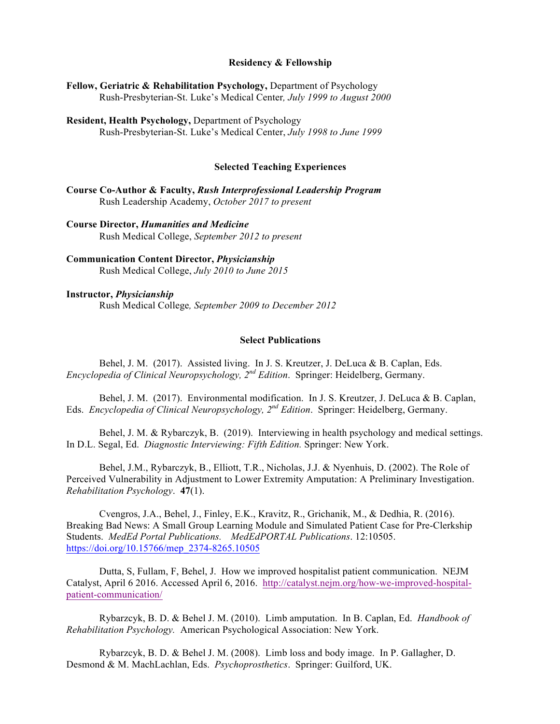### **Residency & Fellowship**

| Fellow, Geriatric & Rehabilitation Psychology, Department of Psychology |                                                                       |  |  |
|-------------------------------------------------------------------------|-----------------------------------------------------------------------|--|--|
|                                                                         | Rush-Presbyterian-St. Luke's Medical Center, July 1999 to August 2000 |  |  |

**Resident, Health Psychology,** Department of Psychology Rush-Presbyterian-St. Luke's Medical Center, *July 1998 to June 1999*

#### **Selected Teaching Experiences**

**Course Co-Author & Faculty,** *Rush Interprofessional Leadership Program* Rush Leadership Academy, *October 2017 to present*

**Course Director,** *Humanities and Medicine* Rush Medical College, *September 2012 to present*

**Communication Content Director,** *Physicianship* Rush Medical College, *July 2010 to June 2015*

**Instructor,** *Physicianship* Rush Medical College*, September 2009 to December 2012*

#### **Select Publications**

Behel, J. M. (2017). Assisted living. In J. S. Kreutzer, J. DeLuca & B. Caplan, Eds. *Encyclopedia of Clinical Neuropsychology, 2nd Edition*. Springer: Heidelberg, Germany.

Behel, J. M. (2017). Environmental modification. In J. S. Kreutzer, J. DeLuca & B. Caplan, Eds. *Encyclopedia of Clinical Neuropsychology, 2nd Edition*. Springer: Heidelberg, Germany.

Behel, J. M. & Rybarczyk, B. (2019). Interviewing in health psychology and medical settings. In D.L. Segal, Ed. *Diagnostic Interviewing: Fifth Edition.* Springer: New York.

Behel, J.M., Rybarczyk, B., Elliott, T.R., Nicholas, J.J. & Nyenhuis, D. (2002). The Role of Perceived Vulnerability in Adjustment to Lower Extremity Amputation: A Preliminary Investigation. *Rehabilitation Psychology*. **47**(1).

Cvengros, J.A., Behel, J., Finley, E.K., Kravitz, R., Grichanik, M., & Dedhia, R. (2016). Breaking Bad News: A Small Group Learning Module and Simulated Patient Case for Pre-Clerkship Students. *MedEd Portal Publications. MedEdPORTAL Publications*. 12:10505. https://doi.org/10.15766/mep\_2374-8265.10505

Dutta, S, Fullam, F, Behel, J. How we improved hospitalist patient communication. NEJM Catalyst, April 6 2016. Accessed April 6, 2016. http://catalyst.nejm.org/how-we-improved-hospitalpatient-communication/

Rybarzcyk, B. D. & Behel J. M. (2010). Limb amputation. In B. Caplan, Ed. *Handbook of Rehabilitation Psychology.* American Psychological Association: New York.

Rybarzcyk, B. D. & Behel J. M. (2008). Limb loss and body image. In P. Gallagher, D. Desmond & M. MachLachlan, Eds. *Psychoprosthetics*. Springer: Guilford, UK.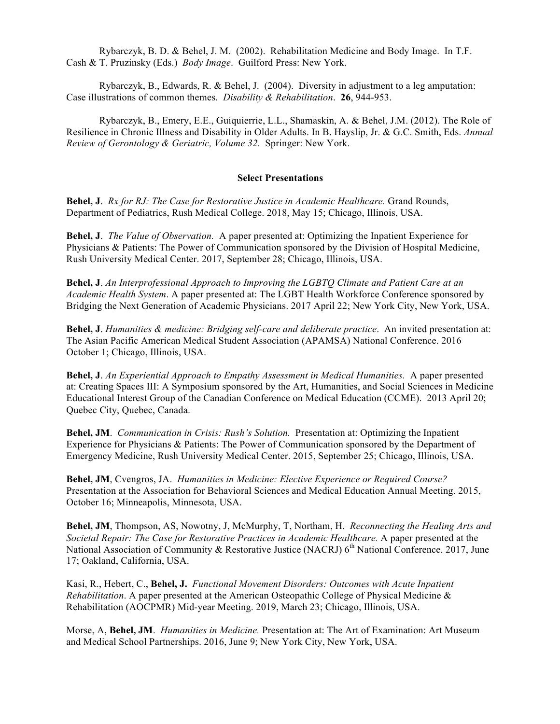Rybarczyk, B. D. & Behel, J. M. (2002). Rehabilitation Medicine and Body Image. In T.F. Cash & T. Pruzinsky (Eds.) *Body Image*. Guilford Press: New York.

Rybarczyk, B., Edwards, R. & Behel, J. (2004). Diversity in adjustment to a leg amputation: Case illustrations of common themes. *Disability & Rehabilitation*. **26**, 944-953.

Rybarczyk, B., Emery, E.E., Guiquierrie, L.L., Shamaskin, A. & Behel, J.M. (2012). The Role of Resilience in Chronic Illness and Disability in Older Adults. In B. Hayslip, Jr. & G.C. Smith, Eds. *Annual Review of Gerontology & Geriatric, Volume 32.* Springer: New York.

### **Select Presentations**

**Behel, J**. *Rx for RJ: The Case for Restorative Justice in Academic Healthcare.* Grand Rounds, Department of Pediatrics, Rush Medical College. 2018, May 15; Chicago, Illinois, USA.

**Behel, J**. *The Value of Observation.* A paper presented at: Optimizing the Inpatient Experience for Physicians & Patients: The Power of Communication sponsored by the Division of Hospital Medicine, Rush University Medical Center. 2017, September 28; Chicago, Illinois, USA.,

**Behel, J**. *An Interprofessional Approach to Improving the LGBTQ Climate and Patient Care at an Academic Health System*. A paper presented at: The LGBT Health Workforce Conference sponsored by Bridging the Next Generation of Academic Physicians. 2017 April 22; New York City, New York, USA.

**Behel, J**. *Humanities & medicine: Bridging self-care and deliberate practice*. An invited presentation at: The Asian Pacific American Medical Student Association (APAMSA) National Conference. 2016 October 1; Chicago, Illinois, USA.

**Behel, J**. *An Experiential Approach to Empathy Assessment in Medical Humanities.* A paper presented at: Creating Spaces III: A Symposium sponsored by the Art, Humanities, and Social Sciences in Medicine Educational Interest Group of the Canadian Conference on Medical Education (CCME). 2013 April 20; Quebec City, Quebec, Canada.

**Behel, JM**. *Communication in Crisis: Rush's Solution.* Presentation at: Optimizing the Inpatient Experience for Physicians & Patients: The Power of Communication sponsored by the Department of Emergency Medicine, Rush University Medical Center. 2015, September 25; Chicago, Illinois, USA.

**Behel, JM**, Cvengros, JA. *Humanities in Medicine: Elective Experience or Required Course?*  Presentation at the Association for Behavioral Sciences and Medical Education Annual Meeting. 2015, October 16; Minneapolis, Minnesota, USA.

**Behel, JM**, Thompson, AS, Nowotny, J, McMurphy, T, Northam, H. *Reconnecting the Healing Arts and Societal Repair: The Case for Restorative Practices in Academic Healthcare.* A paper presented at the National Association of Community & Restorative Justice (NACRJ) 6<sup>th</sup> National Conference. 2017, June 17; Oakland, California, USA.

Kasi, R., Hebert, C., **Behel, J.** *Functional Movement Disorders: Outcomes with Acute Inpatient Rehabilitation*. A paper presented at the American Osteopathic College of Physical Medicine & Rehabilitation (AOCPMR) Mid-year Meeting. 2019, March 23; Chicago, Illinois, USA.

Morse, A, **Behel, JM**. *Humanities in Medicine.* Presentation at: The Art of Examination: Art Museum and Medical School Partnerships. 2016, June 9; New York City, New York, USA.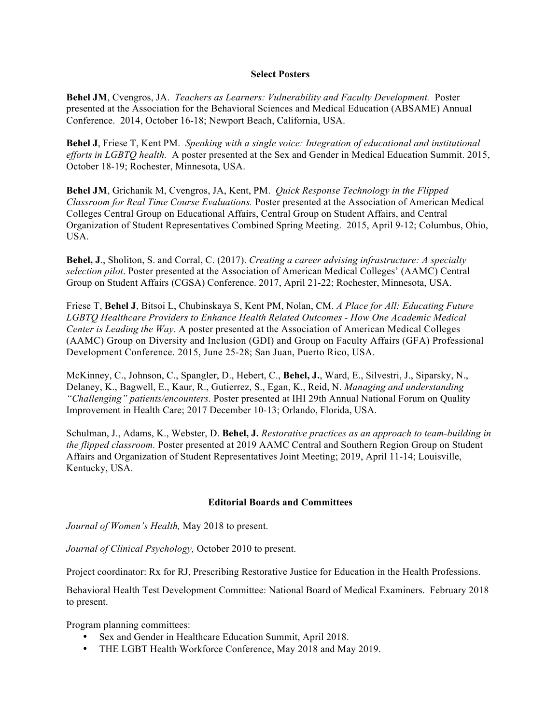### **Select Posters**

**Behel JM**, Cvengros, JA. *Teachers as Learners: Vulnerability and Faculty Development.* Poster presented at the Association for the Behavioral Sciences and Medical Education (ABSAME) Annual Conference. 2014, October 16-18; Newport Beach, California, USA.

**Behel J**, Friese T, Kent PM. *Speaking with a single voice: Integration of educational and institutional efforts in LGBTQ health.* A poster presented at the Sex and Gender in Medical Education Summit. 2015, October 18-19; Rochester, Minnesota, USA.

**Behel JM**, Grichanik M, Cvengros, JA, Kent, PM. *Quick Response Technology in the Flipped Classroom for Real Time Course Evaluations.* Poster presented at the Association of American Medical Colleges Central Group on Educational Affairs, Central Group on Student Affairs, and Central Organization of Student Representatives Combined Spring Meeting. 2015, April 9-12; Columbus, Ohio, USA.

**Behel, J**., Sholiton, S. and Corral, C. (2017). *Creating a career advising infrastructure: A specialty selection pilot*. Poster presented at the Association of American Medical Colleges' (AAMC) Central Group on Student Affairs (CGSA) Conference. 2017, April 21-22; Rochester, Minnesota, USA.

Friese T, **Behel J**, Bitsoi L, Chubinskaya S, Kent PM, Nolan, CM. *A Place for All: Educating Future LGBTQ Healthcare Providers to Enhance Health Related Outcomes - How One Academic Medical Center is Leading the Way.* A poster presented at the Association of American Medical Colleges (AAMC) Group on Diversity and Inclusion (GDI) and Group on Faculty Affairs (GFA) Professional Development Conference. 2015, June 25-28; San Juan, Puerto Rico, USA.

McKinney, C., Johnson, C., Spangler, D., Hebert, C., **Behel, J.**, Ward, E., Silvestri, J., Siparsky, N., Delaney, K., Bagwell, E., Kaur, R., Gutierrez, S., Egan, K., Reid, N. *Managing and understanding "Challenging" patients/encounters*. Poster presented at IHI 29th Annual National Forum on Quality Improvement in Health Care; 2017 December 10-13; Orlando, Florida, USA.

Schulman, J., Adams, K., Webster, D. **Behel, J.** *Restorative practices as an approach to team-building in the flipped classroom.* Poster presented at 2019 AAMC Central and Southern Region Group on Student Affairs and Organization of Student Representatives Joint Meeting; 2019, April 11-14; Louisville, Kentucky, USA.

### **Editorial Boards and Committees**

*Journal of Women's Health,* May 2018 to present.

*Journal of Clinical Psychology,* October 2010 to present.

Project coordinator: Rx for RJ, Prescribing Restorative Justice for Education in the Health Professions.

Behavioral Health Test Development Committee: National Board of Medical Examiners. February 2018 to present.

Program planning committees:

- Sex and Gender in Healthcare Education Summit, April 2018.
- THE LGBT Health Workforce Conference, May 2018 and May 2019.